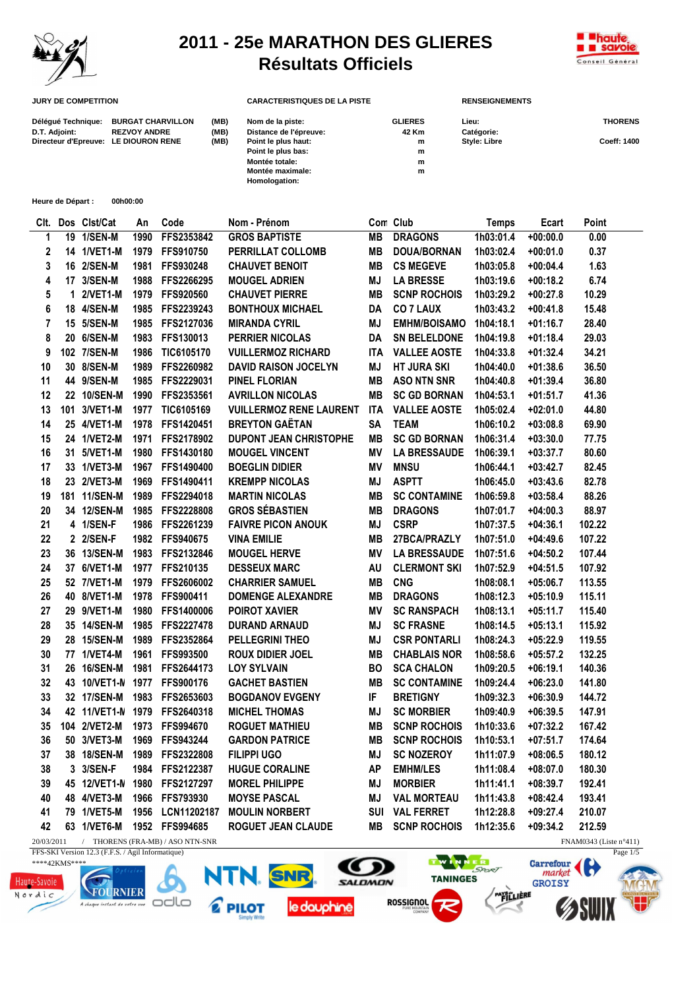

## **2011 - 25e MARATHON DES GLIERES Résultats Officiels**



| <b>JURY DE COMPETITION</b>           |                          |      | <b>CARACTERISTIQUES DE LA PISTE</b> |                | <b>RENSEIGNEMENTS</b> |                    |  |
|--------------------------------------|--------------------------|------|-------------------------------------|----------------|-----------------------|--------------------|--|
| Délégué Technique:                   | <b>BURGAT CHARVILLON</b> | (MB) | Nom de la piste:                    | <b>GLIERES</b> | Lieu:                 | <b>THORENS</b>     |  |
| D.T. Adjoint:                        | <b>REZVOY ANDRE</b>      | (MB) | Distance de l'épreuve:              | 42 Km          | Catégorie:            |                    |  |
| Directeur d'Epreuve: LE DIOURON RENE |                          | (MB) | Point le plus haut:                 | m              | <b>Style: Libre</b>   | <b>Coeff: 1400</b> |  |
|                                      |                          |      | Point le plus bas:                  | m              |                       |                    |  |
|                                      |                          |      | Montée totale:                      | m              |                       |                    |  |
|                                      |                          |      | Montée maximale:                    | m              |                       |                    |  |
|                                      |                          |      | Homologation:                       |                |                       |                    |  |

**Heure de Départ : 00h00:00**

| CIt.           |             | Dos Clst/Cat    | An   | Code             | Nom - Prénom                   |            | Con Club            | <b>Temps</b> | Ecart      | Point  |
|----------------|-------------|-----------------|------|------------------|--------------------------------|------------|---------------------|--------------|------------|--------|
| 1              |             | 19 1/SEN-M      | 1990 | FFS2353842       | <b>GROS BAPTISTE</b>           | <b>MB</b>  | <b>DRAGONS</b>      | 1h03:01.4    | $+00:00.0$ | 0.00   |
| 2              |             | 14 1/VET1-M     | 1979 | FFS910750        | PERRILLAT COLLOMB              | MВ         | DOUA/BORNAN         | 1h03:02.4    | $+00:01.0$ | 0.37   |
| 3              |             | 16 2/SEN-M      | 1981 | FFS930248        | <b>CHAUVET BENOIT</b>          | <b>MB</b>  | <b>CS MEGEVE</b>    | 1h03:05.8    | $+00:04.4$ | 1.63   |
| 4              |             | 17 3/SEN-M      | 1988 | FFS2266295       | <b>MOUGEL ADRIEN</b>           | MJ         | <b>LA BRESSE</b>    | 1h03:19.6    | $+00:18.2$ | 6.74   |
| 5              | $\mathbf 1$ | <b>2/VET1-M</b> | 1979 | FFS920560        | <b>CHAUVET PIERRE</b>          | <b>MB</b>  | <b>SCNP ROCHOIS</b> | 1h03:29.2    | $+00:27.8$ | 10.29  |
| 6              |             | 18 4/SEN-M      | 1985 | FFS2239243       | <b>BONTHOUX MICHAEL</b>        | DA         | <b>CO 7 LAUX</b>    | 1h03:43.2    | $+00:41.8$ | 15.48  |
| $\overline{7}$ |             | 15 5/SEN-M      | 1985 | FFS2127036       | <b>MIRANDA CYRIL</b>           | ΜJ         | <b>EMHM/BOISAMO</b> | 1h04:18.1    | $+01:16.7$ | 28.40  |
| 8              |             | 20 6/SEN-M      | 1983 | <b>FFS130013</b> | PERRIER NICOLAS                | DA         | <b>SN BELELDONE</b> | 1h04:19.8    | $+01:18.4$ | 29.03  |
| 9              |             | 102 7/SEN-M     | 1986 | TIC6105170       | <b>VUILLERMOZ RICHARD</b>      | <b>ITA</b> | <b>VALLEE AOSTE</b> | 1h04:33.8    | $+01:32.4$ | 34.21  |
| 10             |             | 30 8/SEN-M      | 1989 | FFS2260982       | <b>DAVID RAISON JOCELYN</b>    | MJ         | <b>HT JURA SKI</b>  | 1h04:40.0    | $+01:38.6$ | 36.50  |
| 11             |             | 44 9/SEN-M      | 1985 | FFS2229031       | <b>PINEL FLORIAN</b>           | <b>MB</b>  | <b>ASO NTN SNR</b>  | 1h04:40.8    | $+01:39.4$ | 36.80  |
| 12             |             | 22 10/SEN-M     | 1990 | FFS2353561       | <b>AVRILLON NICOLAS</b>        | <b>MB</b>  | <b>SC GD BORNAN</b> | 1h04:53.1    | $+01:51.7$ | 41.36  |
| 13             |             | 101 3/VET1-M    | 1977 | TIC6105169       | <b>VUILLERMOZ RENE LAURENT</b> | ITA        | <b>VALLEE AOSTE</b> | 1h05:02.4    | $+02:01.0$ | 44.80  |
| 14             |             | 25 4/VET1-M     | 1978 | FFS1420451       | <b>BREYTON GAËTAN</b>          | <b>SA</b>  | <b>TEAM</b>         | 1h06:10.2    | $+03:08.8$ | 69.90  |
| 15             |             | 24 1/VET2-M     | 1971 | FFS2178902       | <b>DUPONT JEAN CHRISTOPHE</b>  | <b>MB</b>  | <b>SC GD BORNAN</b> | 1h06:31.4    | $+03:30.0$ | 77.75  |
| 16             |             | 31 5/VET1-M     | 1980 | FFS1430180       | <b>MOUGEL VINCENT</b>          | MV         | <b>LA BRESSAUDE</b> | 1h06:39.1    | $+03:37.7$ | 80.60  |
| 17             |             | 33 1/VET3-M     | 1967 | FFS1490400       | <b>BOEGLIN DIDIER</b>          | MV         | <b>MNSU</b>         | 1h06:44.1    | $+03:42.7$ | 82.45  |
| 18             |             | 23 2/VET3-M     | 1969 | FFS1490411       | <b>KREMPP NICOLAS</b>          | ΜJ         | <b>ASPTT</b>        | 1h06:45.0    | $+03:43.6$ | 82.78  |
| 19             |             | 181 11/SEN-M    | 1989 | FFS2294018       | <b>MARTIN NICOLAS</b>          | MВ         | <b>SC CONTAMINE</b> | 1h06:59.8    | $+03:58.4$ | 88.26  |
| 20             |             | 34 12/SEN-M     | 1985 | FFS2228808       | <b>GROS SÉBASTIEN</b>          | <b>MB</b>  | <b>DRAGONS</b>      | 1h07:01.7    | $+04:00.3$ | 88.97  |
| 21             |             | 4 1/SEN-F       | 1986 | FFS2261239       | <b>FAIVRE PICON ANOUK</b>      | MJ         | <b>CSRP</b>         | 1h07:37.5    | $+04:36.1$ | 102.22 |
| 22             |             | 2 2/SEN-F       |      | 1982 FFS940675   | <b>VINA EMILIE</b>             | MВ         | 27BCA/PRAZLY        | 1h07:51.0    | $+04:49.6$ | 107.22 |
| 23             |             | 36 13/SEN-M     | 1983 | FFS2132846       | <b>MOUGEL HERVE</b>            | MV         | <b>LA BRESSAUDE</b> | 1h07:51.6    | $+04:50.2$ | 107.44 |
| 24             |             | 37 6/VET1-M     | 1977 | FFS210135        | <b>DESSEUX MARC</b>            | AU         | <b>CLERMONT SKI</b> | 1h07:52.9    | $+04:51.5$ | 107.92 |
| 25             |             | 52 7/VET1-M     | 1979 | FFS2606002       | <b>CHARRIER SAMUEL</b>         | MВ         | <b>CNG</b>          | 1h08:08.1    | $+05:06.7$ | 113.55 |
| 26             |             | 40 8/VET1-M     | 1978 | FFS900411        | <b>DOMENGE ALEXANDRE</b>       | MВ         | <b>DRAGONS</b>      | 1h08:12.3    | $+05:10.9$ | 115.11 |
| 27             |             | 29 9/VET1-M     | 1980 | FFS1400006       | <b>POIROT XAVIER</b>           | MV         | <b>SC RANSPACH</b>  | 1h08:13.1    | $+05:11.7$ | 115.40 |
| 28             |             | 35 14/SEN-M     | 1985 | FFS2227478       | <b>DURAND ARNAUD</b>           | MJ         | <b>SC FRASNE</b>    | 1h08:14.5    | $+05:13.1$ | 115.92 |
| 29             |             | 28 15/SEN-M     | 1989 | FFS2352864       | PELLEGRINI THEO                | MJ         | <b>CSR PONTARLI</b> | 1h08:24.3    | $+05:22.9$ | 119.55 |
| 30             |             | 77 1/VET4-M     | 1961 | <b>FFS993500</b> | <b>ROUX DIDIER JOEL</b>        | MВ         | <b>CHABLAIS NOR</b> | 1h08:58.6    | $+05:57.2$ | 132.25 |
| 31             |             | 26 16/SEN-M     | 1981 | FFS2644173       | <b>LOY SYLVAIN</b>             | <b>BO</b>  | <b>SCA CHALON</b>   | 1h09:20.5    | $+06:19.1$ | 140.36 |
| 32             |             | 43 10/VET1-N    | 1977 | <b>FFS900176</b> | <b>GACHET BASTIEN</b>          | MВ         | <b>SC CONTAMINE</b> | 1h09:24.4    | $+06:23.0$ | 141.80 |
| 33             |             | 32 17/SEN-M     | 1983 | FFS2653603       | <b>BOGDANOV EVGENY</b>         | IF         | <b>BRETIGNY</b>     | 1h09:32.3    | $+06:30.9$ | 144.72 |
| 34             |             | 42 11/VET1-N    | 1979 | FFS2640318       | <b>MICHEL THOMAS</b>           | MJ         | <b>SC MORBIER</b>   | 1h09:40.9    | $+06:39.5$ | 147.91 |
| 35             |             | 104 2/VET2-M    | 1973 | <b>FFS994670</b> | <b>ROGUET MATHIEU</b>          | MВ         | <b>SCNP ROCHOIS</b> | 1h10:33.6    | $+07:32.2$ | 167.42 |
| 36             |             | 50 3/VET3-M     | 1969 | FFS943244        | <b>GARDON PATRICE</b>          | <b>MB</b>  | <b>SCNP ROCHOIS</b> | 1h10:53.1    | $+07:51.7$ | 174.64 |
| 37             |             | 38 18/SEN-M     |      | 1989 FFS2322808  | <b>FILIPPI UGO</b>             | MJ         | <b>SC NOZEROY</b>   | 1h11:07.9    | $+08:06.5$ | 180.12 |
| 38             |             | 3 3/SEN-F       | 1984 | FFS2122387       | <b>HUGUE CORALINE</b>          | AP         | <b>EMHM/LES</b>     | 1h11:08.4    | $+08:07.0$ | 180.30 |
| 39             |             | 45 12/VET1-N    | 1980 | FFS2127297       | <b>MOREL PHILIPPE</b>          | MJ         | <b>MORBIER</b>      | 1h11:41.1    | $+08:39.7$ | 192.41 |
| 40             |             | 48 4/VET3-M     | 1966 | FFS793930        | <b>MOYSE PASCAL</b>            | ΜJ         | <b>VAL MORTEAU</b>  | 1h11:43.8    | $+08:42.4$ | 193.41 |
| 41             |             | 79 1/VET5-M     | 1956 | LCN11202187      | <b>MOULIN NORBERT</b>          | SUI        | <b>VAL FERRET</b>   | 1h12:28.8    | $+09:27.4$ | 210.07 |
| 42             |             | 63 1/VET6-M     |      | 1952 FFS994685   | <b>ROGUET JEAN CLAUDE</b>      | MВ         | <b>SCNP ROCHOIS</b> | 1h12:35.6    | $+09:34.2$ | 212.59 |
|                |             |                 |      |                  |                                |            |                     |              |            |        |

FFS-SKI Version 12.3 (F.F.S. / Agil Informatique)

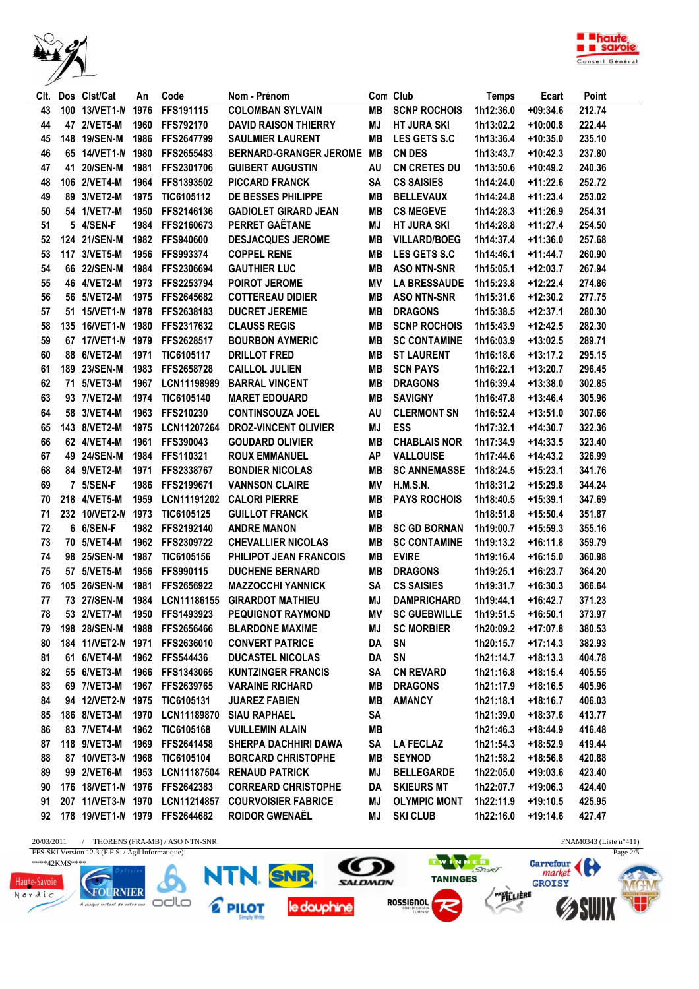



| CIt. | Dos Clst/Cat       | An   | Code                             | Nom - Prénom                                       |           | Con Club             | <b>Temps</b> | Ecart      | Point  |
|------|--------------------|------|----------------------------------|----------------------------------------------------|-----------|----------------------|--------------|------------|--------|
| 43   | 100 13/VET1-N      | 1976 | FFS191115                        | <b>COLOMBAN SYLVAIN</b>                            | MВ        | <b>SCNP ROCHOIS</b>  | 1h12:36.0    | $+09:34.6$ | 212.74 |
| 44   | 47 2/VET5-M        |      | 1960 FFS792170                   | <b>DAVID RAISON THIERRY</b>                        | MJ        | <b>HT JURA SKI</b>   | 1h13:02.2    | $+10:00.8$ | 222.44 |
| 45   | 148 19/SEN-M       |      | 1986 FFS2647799                  | <b>SAULMIER LAURENT</b>                            | MВ        | LES GETS S.C         | 1h13:36.4    | $+10:35.0$ | 235.10 |
| 46   |                    |      | 65 14/VET1-N 1980 FFS2655483     | <b>BERNARD-GRANGER JEROME</b>                      | MВ        | <b>CN DES</b>        | 1h13:43.7    | $+10:42.3$ | 237.80 |
| 47   | 41 20/SEN-M        |      | 1981 FFS2301706                  | <b>GUIBERT AUGUSTIN</b>                            | AU        | <b>CN CRETES DU</b>  | 1h13:50.6    | $+10:49.2$ | 240.36 |
| 48   | 106 2/VET4-M       |      | 1964 FFS1393502                  | <b>PICCARD FRANCK</b>                              | <b>SA</b> | <b>CS SAISIES</b>    | 1h14:24.0    | $+11:22.6$ | 252.72 |
| 49   | 89 3/VET2-M        | 1975 | TIC6105112                       | DE BESSES PHILIPPE                                 | MВ        | <b>BELLEVAUX</b>     | 1h14:24.8    | $+11:23.4$ | 253.02 |
| 50   | 54 1/VET7-M        | 1950 | FFS2146136                       | <b>GADIOLET GIRARD JEAN</b>                        | MВ        | <b>CS MEGEVE</b>     | 1h14:28.3    | $+11:26.9$ | 254.31 |
| 51   | 5 4/SEN-F          | 1984 | FFS2160673                       | <b>PERRET GAËTANE</b>                              | ΜJ        | <b>HT JURA SKI</b>   | 1h14:28.8    | $+11:27.4$ | 254.50 |
| 52   | 124 21/SEN-M       | 1982 | <b>FFS940600</b>                 | <b>DESJACQUES JEROME</b>                           | MВ        | <b>VILLARD/BOEG</b>  | 1h14:37.4    | $+11:36.0$ | 257.68 |
| 53   | 117 3/VET5-M       | 1956 | FFS993374                        | <b>COPPEL RENE</b>                                 | MВ        | LES GETS S.C         | 1h14:46.1    | $+11:44.7$ | 260.90 |
| 54   | 66 22/SEN-M        | 1984 | FFS2306694                       | <b>GAUTHIER LUC</b>                                | MВ        | <b>ASO NTN-SNR</b>   | 1h15:05.1    | $+12:03.7$ | 267.94 |
| 55   | 46 4/VET2-M        | 1973 | FFS2253794                       | POIROT JEROME                                      | ΜV        | <b>LA BRESSAUDE</b>  | 1h15:23.8    | $+12:22.4$ | 274.86 |
| 56   | 56 5/VET2-M        |      | 1975 FFS2645682                  | <b>COTTEREAU DIDIER</b>                            | MВ        | <b>ASO NTN-SNR</b>   | 1h15:31.6    | $+12:30.2$ | 277.75 |
| 57   | 51 15/VET1-N 1978  |      | FFS2638183                       | <b>DUCRET JEREMIE</b>                              | MВ        | <b>DRAGONS</b>       | 1h15:38.5    | $+12:37.1$ | 280.30 |
| 58   | 135 16/VET1-N 1980 |      | FFS2317632                       | <b>CLAUSS REGIS</b>                                | MВ        | <b>SCNP ROCHOIS</b>  | 1h15:43.9    | $+12:42.5$ | 282.30 |
| 59   | 67 17/VET1-N 1979  |      | FFS2628517                       | <b>BOURBON AYMERIC</b>                             | MВ        | <b>SC CONTAMINE</b>  | 1h16:03.9    | $+13:02.5$ | 289.71 |
| 60   | 88 6/VET2-M        | 1971 | TIC6105117                       | <b>DRILLOT FRED</b>                                | MВ        | <b>ST LAURENT</b>    | 1h16:18.6    | $+13:17.2$ | 295.15 |
| 61   | 189 23/SEN-M       | 1983 | FFS2658728                       | <b>CAILLOL JULIEN</b>                              | MВ        | <b>SCN PAYS</b>      | 1h16:22.1    | +13:20.7   | 296.45 |
| 62   | 71 5/VET3-M        | 1967 | LCN11198989                      | <b>BARRAL VINCENT</b>                              | MВ        | <b>DRAGONS</b>       | 1h16:39.4    | $+13:38.0$ | 302.85 |
| 63   | 93 7/VET2-M        | 1974 | TIC6105140                       | <b>MARET EDOUARD</b>                               | MВ        | <b>SAVIGNY</b>       | 1h16:47.8    | $+13:46.4$ | 305.96 |
| 64   | 58 3/VET4-M        |      | 1963 FFS210230                   | <b>CONTINSOUZA JOEL</b>                            | AU        | <b>CLERMONT SN</b>   | 1h16:52.4    | $+13:51.0$ | 307.66 |
| 65   | 143 8/VET2-M       |      | 1975 LCN11207264                 | <b>DROZ-VINCENT OLIVIER</b>                        | MJ        | <b>ESS</b>           | 1h17:32.1    | $+14:30.7$ | 322.36 |
| 66   | 62 4/VET4-M        |      | 1961 FFS390043                   | <b>GOUDARD OLIVIER</b>                             | MВ        | <b>CHABLAIS NOR</b>  | 1h17:34.9    | $+14:33.5$ | 323.40 |
| 67   | 49 24/SEN-M        |      | 1984 FFS110321                   | <b>ROUX EMMANUEL</b>                               | <b>AP</b> | <b>VALLOUISE</b>     | 1h17:44.6    | $+14:43.2$ | 326.99 |
| 68   | 84 9/VET2-M        |      | 1971 FFS2338767                  | <b>BONDIER NICOLAS</b>                             | MВ        | <b>SC ANNEMASSE</b>  | 1h18:24.5    | $+15:23.1$ | 341.76 |
| 69   | 7 5/SEN-F          | 1986 | FFS2199671                       | <b>VANNSON CLAIRE</b>                              | ΜV        | <b>H.M.S.N.</b>      | 1h18:31.2    | +15:29.8   | 344.24 |
| 70   | 218 4/VET5-M       | 1959 | LCN11191202                      | <b>CALORI PIERRE</b>                               | MВ        | <b>PAYS ROCHOIS</b>  | 1h18:40.5    | $+15:39.1$ | 347.69 |
| 71   | 232 10/VET2-N      | 1973 | TIC6105125                       | <b>GUILLOT FRANCK</b>                              | MВ        |                      | 1h18:51.8    | $+15:50.4$ | 351.87 |
| 72   | 6 6/SEN-F          | 1982 | FFS2192140                       | <b>ANDRE MANON</b>                                 | MВ        | <b>SC GD BORNAN</b>  | 1h19:00.7    | $+15:59.3$ | 355.16 |
| 73   | 70 5/VET4-M        | 1962 | FFS2309722                       | <b>CHEVALLIER NICOLAS</b>                          | MВ        | <b>SC CONTAMINE</b>  | 1h19:13.2    | $+16:11.8$ | 359.79 |
| 74   | 98 25/SEN-M        | 1987 | TIC6105156                       | PHILIPOT JEAN FRANCOIS                             | MВ        | <b>EVIRE</b>         | 1h19:16.4    | $+16:15.0$ | 360.98 |
| 75   | 57 5/VET5-M        | 1956 | FFS990115                        | <b>DUCHENE BERNARD</b>                             | MВ        | <b>DRAGONS</b>       | 1h19:25.1    | +16:23.7   | 364.20 |
| 76   | 105 26/SEN-M       | 1981 | FFS2656922                       | <b>MAZZOCCHI YANNICK</b>                           | SA        | <b>CS SAISIES</b>    | 1h19:31.7    | $+16:30.3$ | 366.64 |
| 77   | 73 27/SEN-M        |      | 1984 LCN11186155                 | <b>GIRARDOT MATHIEU</b>                            | MJ        | <b>DAMPRICHARD</b>   | 1h19:44.1    | $+16:42.7$ | 371.23 |
| 78   |                    |      | 53 2/VET7-M 1950 FFS1493923      | <b>PEQUIGNOT RAYMOND</b>                           | MV        | <b>SC GUEBWILLE</b>  | 1h19:51.5    | $+16:50.1$ | 373.97 |
| 79   |                    |      | 198 28/SEN-M 1988 FFS2656466     | <b>BLARDONE MAXIME</b>                             |           | <b>MJ SC MORBIER</b> | 1h20:09.2    | +17:07.8   | 380.53 |
| 80   |                    |      | 184 11/VET2-N 1971 FFS2636010    | <b>CONVERT PATRICE</b>                             | DA SN     |                      | 1h20:15.7    | +17:14.3   | 382.93 |
| 81   | 61 6/VET4-M        |      | 1962 FFS544436                   | <b>DUCASTEL NICOLAS</b>                            | DA SN     |                      | 1h21:14.7    | $+18:13.3$ | 404.78 |
| 82   | 55 6/VET3-M        |      | 1966 FFS1343065                  | <b>KUNTZINGER FRANCIS</b>                          |           | SA CN REVARD         | 1h21:16.8    | $+18:15.4$ | 405.55 |
| 83   | 69 7/VET3-M        |      | 1967 FFS2639765                  | <b>VARAINE RICHARD</b>                             |           | <b>MB DRAGONS</b>    | 1h21:17.9    | $+18:16.5$ | 405.96 |
| 84   |                    |      | 94 12/VET2-N 1975 TIC6105131     | <b>JUAREZ FABIEN</b>                               | MB        | AMANCY               | 1h21:18.1    | $+18:16.7$ | 406.03 |
| 85   | 186 8/VET3-M       |      | 1970 LCN11189870                 | <b>SIAU RAPHAEL</b>                                | <b>SA</b> |                      | 1h21:39.0    | $+18:37.6$ | 413.77 |
| 86   | 83 7/VET4-M        |      | 1962 TIC6105168                  | <b>VUILLEMIN ALAIN</b>                             | MВ        |                      | 1h21:46.3    | +18:44.9   | 416.48 |
|      |                    |      | 87 118 9/VET3-M 1969 FFS2641458  | <b>SHERPA DACHHIRI DAWA</b>                        |           | SA LA FECLAZ         | 1h21:54.3    | $+18:52.9$ | 419.44 |
| 88   |                    |      | 87 10/VET3-N 1968 TIC6105104     | <b>BORCARD CHRISTOPHE</b>                          |           | MB SEYNOD            | 1h21:58.2    | $+18:56.8$ | 420.88 |
| 89   |                    |      |                                  | 99 2/VET6-M 1953 LCN11187504 RENAUD PATRICK        | MJ        | <b>BELLEGARDE</b>    | 1h22:05.0    | $+19:03.6$ | 423.40 |
| 90   |                    |      |                                  | <b>CORREARD CHRISTOPHE</b>                         |           | DA SKIEURS MT        | 1h22:07.7    | $+19:06.3$ | 424.40 |
| 91   |                    |      |                                  | 207 11/VET3-N 1970 LCN11214857 COURVOISIER FABRICE | MJ        | <b>OLYMPIC MONT</b>  | 1h22:11.9    | +19:10.5   | 425.95 |
|      |                    |      | 92 178 19/VET1-N 1979 FFS2644682 | <b>ROIDOR GWENAËL</b>                              | MJ        | <b>SKI CLUB</b>      | 1h22:16.0    | $+19:14.6$ | 427.47 |
|      |                    |      |                                  |                                                    |           |                      |              |            |        |

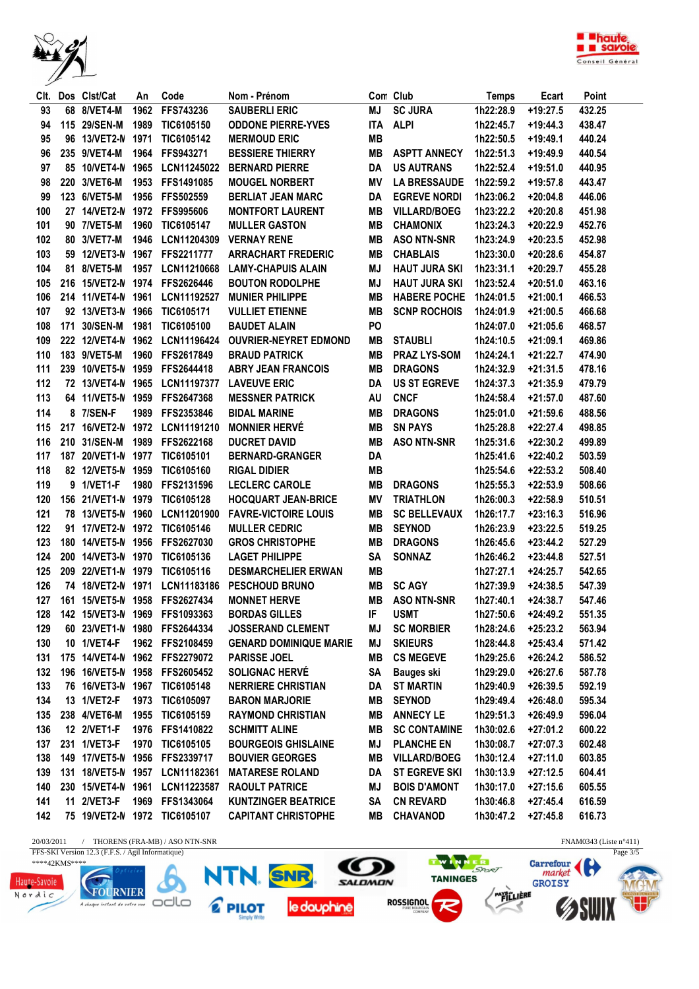



| CIt. | Dos Clst/Cat       | An   | Code                           | Nom - Prénom                  |                | Con Club             | <b>Temps</b> | Ecart      | Point  |
|------|--------------------|------|--------------------------------|-------------------------------|----------------|----------------------|--------------|------------|--------|
| 93   | 68 8/VET4-M        | 1962 | FFS743236                      | <b>SAUBERLI ERIC</b>          | MJ             | <b>SC JURA</b>       | 1h22:28.9    | $+19:27.5$ | 432.25 |
| 94   | 115 29/SEN-M       | 1989 | TIC6105150                     | <b>ODDONE PIERRE-YVES</b>     | <b>ITA</b>     | <b>ALPI</b>          | 1h22:45.7    | $+19:44.3$ | 438.47 |
| 95   | 96 13/VET2-N       | 1971 | TIC6105142                     | <b>MERMOUD ERIC</b>           | <b>MB</b>      |                      | 1h22:50.5    | $+19:49.1$ | 440.24 |
| 96   | 235 9/VET4-M       | 1964 | FFS943271                      | <b>BESSIERE THIERRY</b>       | <b>MB</b>      | <b>ASPTT ANNECY</b>  | 1h22:51.3    | +19:49.9   | 440.54 |
| 97   | 85 10/VET4-N       | 1965 | LCN11245022                    | <b>BERNARD PIERRE</b>         | DA             | <b>US AUTRANS</b>    | 1h22:52.4    | $+19:51.0$ | 440.95 |
| 98   | 220 3/VET6-M       | 1953 | FFS1491085                     | <b>MOUGEL NORBERT</b>         | ΜV             | <b>LA BRESSAUDE</b>  | 1h22:59.2    | +19:57.8   | 443.47 |
| 99   | 123 6/VET5-M       | 1956 | FFS502559                      | <b>BERLIAT JEAN MARC</b>      | DA             | <b>EGREVE NORDI</b>  | 1h23:06.2    | $+20:04.8$ | 446.06 |
| 100  | 27 14/VET2-N       | 1972 | <b>FFS995606</b>               | <b>MONTFORT LAURENT</b>       | <b>MB</b>      | <b>VILLARD/BOEG</b>  | 1h23:22.2    | $+20:20.8$ | 451.98 |
| 101  | 90 7/VET5-M        | 1960 | TIC6105147                     | <b>MULLER GASTON</b>          | <b>MB</b>      | <b>CHAMONIX</b>      | 1h23:24.3    | $+20:22.9$ | 452.76 |
| 102  | 80 3/VET7-M        | 1946 | LCN11204309                    | <b>VERNAY RENE</b>            | <b>MB</b>      | <b>ASO NTN-SNR</b>   | 1h23:24.9    | $+20:23.5$ | 452.98 |
| 103  | 59 12/VET3-N       | 1967 | <b>FFS2211777</b>              | <b>ARRACHART FREDERIC</b>     | MВ             | <b>CHABLAIS</b>      | 1h23:30.0    | $+20:28.6$ | 454.87 |
| 104  | 81 8/VET5-M        | 1957 | LCN11210668                    | <b>LAMY-CHAPUIS ALAIN</b>     | <b>MJ</b>      | <b>HAUT JURA SKI</b> | 1h23:31.1    | $+20:29.7$ | 455.28 |
| 105  |                    |      | 216 15/VET2-N 1974 FFS2626446  | <b>BOUTON RODOLPHE</b>        | <b>MJ</b>      | <b>HAUT JURA SKI</b> | 1h23:52.4    | $+20:51.0$ | 463.16 |
| 106  | 214 11/VET4-N 1961 |      | LCN11192527                    | <b>MUNIER PHILIPPE</b>        | <b>MB</b>      | <b>HABERE POCHE</b>  | 1h24:01.5    | $+21:00.1$ | 466.53 |
| 107  | 92 13/VET3-N       | 1966 | TIC6105171                     | <b>VULLIET ETIENNE</b>        | <b>MB</b>      | <b>SCNP ROCHOIS</b>  | 1h24:01.9    | $+21:00.5$ | 466.68 |
| 108  | 171 30/SEN-M       | 1981 | TIC6105100                     | <b>BAUDET ALAIN</b>           | P <sub>O</sub> |                      | 1h24:07.0    | $+21:05.6$ | 468.57 |
| 109  | 222 12/VET4-N      | 1962 | LCN11196424                    | <b>OUVRIER-NEYRET EDMOND</b>  | MВ             | <b>STAUBLI</b>       | 1h24:10.5    | $+21:09.1$ | 469.86 |
| 110  | 183 9/VET5-M       | 1960 | FFS2617849                     | <b>BRAUD PATRICK</b>          | <b>MB</b>      | <b>PRAZ LYS-SOM</b>  | 1h24:24.1    | $+21:22.7$ | 474.90 |
| 111  | 239 10/VET5-N 1959 |      | FFS2644418                     | <b>ABRY JEAN FRANCOIS</b>     | MВ             | <b>DRAGONS</b>       | 1h24:32.9    | $+21:31.5$ | 478.16 |
| 112  | 72 13/VET4-N 1965  |      | <b>LCN11197377</b>             | <b>LAVEUVE ERIC</b>           | DA             | <b>US ST EGREVE</b>  | 1h24:37.3    | $+21:35.9$ | 479.79 |
| 113  | 64 11/VET5-N 1959  |      | FFS2647368                     | <b>MESSNER PATRICK</b>        | AU             | <b>CNCF</b>          | 1h24:58.4    | $+21:57.0$ | 487.60 |
| 114  | 8 7/SEN-F          | 1989 | FFS2353846                     | <b>BIDAL MARINE</b>           | <b>MB</b>      | <b>DRAGONS</b>       | 1h25:01.0    | $+21:59.6$ | 488.56 |
| 115  | 217 16/VET2-N 1972 |      | LCN11191210                    | <b>MONNIER HERVÉ</b>          | <b>MB</b>      | <b>SN PAYS</b>       | 1h25:28.8    | $+22:27.4$ | 498.85 |
| 116  | 210 31/SEN-M       | 1989 | FFS2622168                     | <b>DUCRET DAVID</b>           | MВ             | <b>ASO NTN-SNR</b>   | 1h25:31.6    | $+22:30.2$ | 499.89 |
| 117  | 187 20/VET1-N      | 1977 | TIC6105101                     | <b>BERNARD-GRANGER</b>        | DA             |                      | 1h25:41.6    | $+22:40.2$ | 503.59 |
| 118  | 82 12/VET5-N       | 1959 | TIC6105160                     | <b>RIGAL DIDIER</b>           | <b>MB</b>      |                      | 1h25:54.6    | $+22:53.2$ | 508.40 |
| 119  | 9 1/VET1-F         | 1980 | FFS2131596                     | <b>LECLERC CAROLE</b>         | <b>MB</b>      | <b>DRAGONS</b>       | 1h25:55.3    | $+22:53.9$ | 508.66 |
| 120  | 156 21/VET1-N 1979 |      | TIC6105128                     | <b>HOCQUART JEAN-BRICE</b>    | <b>MV</b>      | <b>TRIATHLON</b>     | 1h26:00.3    | $+22:58.9$ | 510.51 |
| 121  | 78 13/VET5-N 1960  |      | LCN11201900                    | <b>FAVRE-VICTOIRE LOUIS</b>   | <b>MB</b>      | <b>SC BELLEVAUX</b>  | 1h26:17.7    | $+23:16.3$ | 516.96 |
| 122  | 91 17/VET2-N 1972  |      | TIC6105146                     | <b>MULLER CEDRIC</b>          | MВ             | <b>SEYNOD</b>        | 1h26:23.9    | $+23:22.5$ | 519.25 |
| 123  | 180 14/VET5-N 1956 |      | FFS2627030                     | <b>GROS CHRISTOPHE</b>        | MВ             | <b>DRAGONS</b>       | 1h26:45.6    | $+23:44.2$ | 527.29 |
| 124  | 200 14/VET3-N 1970 |      | TIC6105136                     | <b>LAGET PHILIPPE</b>         | SΑ             | <b>SONNAZ</b>        | 1h26:46.2    | $+23:44.8$ | 527.51 |
| 125  | 209 22/VET1-N 1979 |      | TIC6105116                     | <b>DESMARCHELIER ERWAN</b>    | MВ             |                      | 1h27:27.1    | $+24:25.7$ | 542.65 |
| 126  | 74 18/VET2-N 1971  |      | LCN11183186                    | <b>PESCHOUD BRUNO</b>         | <b>MB</b>      | <b>SC AGY</b>        | 1h27:39.9    | $+24:38.5$ | 547.39 |
| 127  | 161 15/VET5-N 1958 |      | FFS2627434                     | <b>MONNET HERVE</b>           | MВ             | <b>ASO NTN-SNR</b>   | 1h27:40.1    | $+24:38.7$ | 547.46 |
| 128  |                    |      | 142 15/VET3-N 1969 FFS1093363  | <b>BORDAS GILLES</b>          | IF             | <b>USMT</b>          | 1h27:50.6    | $+24:49.2$ | 551.35 |
| 129  |                    |      | 60 23/VET1-N 1980 FFS2644334   | <b>JOSSERAND CLEMENT</b>      | MJ             | <b>SC MORBIER</b>    | 1h28:24.6    | +25:23.2   | 563.94 |
| 130  | 10 1/VET4-F        |      | 1962 FFS2108459                | <b>GENARD DOMINIQUE MARIE</b> | ΜJ             | <b>SKIEURS</b>       | 1h28:44.8    | $+25:43.4$ | 571.42 |
| 131  |                    |      | 175 14/VET4-N 1962 FFS2279072  | <b>PARISSE JOEL</b>           | MВ             | <b>CS MEGEVE</b>     | 1h29:25.6    | $+26:24.2$ | 586.52 |
| 132  |                    |      | 196 16/VET5-N 1958 FFS2605452  | <b>SOLIGNAC HERVÉ</b>         | SA             | <b>Bauges ski</b>    | 1h29:29.0    | $+26:27.6$ | 587.78 |
| 133  |                    |      | 76 16/VET3-N 1967 TIC6105148   | <b>NERRIERE CHRISTIAN</b>     | DA             | <b>ST MARTIN</b>     | 1h29:40.9    | $+26:39.5$ | 592.19 |
| 134  | 13 1/VET2-F        | 1973 | TIC6105097                     | <b>BARON MARJORIE</b>         | MВ             | <b>SEYNOD</b>        | 1h29:49.4    | +26:48.0   | 595.34 |
| 135  | 238 4/VET6-M       |      | 1955 TIC6105159                | <b>RAYMOND CHRISTIAN</b>      | MВ             | <b>ANNECY LE</b>     | 1h29:51.3    | +26:49.9   | 596.04 |
| 136  | 12 2/VET1-F        |      | 1976 FFS1410822                | <b>SCHMITT ALINE</b>          | MВ             | <b>SC CONTAMINE</b>  | 1h30:02.6    | +27:01.2   | 600.22 |
| 137  | 231 1/VET3-F       |      | 1970 TIC6105105                | <b>BOURGEOIS GHISLAINE</b>    | ΜJ             | <b>PLANCHE EN</b>    | 1h30:08.7    | +27:07.3   | 602.48 |
| 138  |                    |      | 149 17/VET5-N 1956 FFS2339717  | <b>BOUVIER GEORGES</b>        | MВ             | <b>VILLARD/BOEG</b>  | 1h30:12.4    | $+27:11.0$ | 603.85 |
| 139  |                    |      | 131 18/VET5-N 1957 LCN11182361 | <b>MATARESE ROLAND</b>        | DA             | <b>ST EGREVE SKI</b> | 1h30:13.9    | +27:12.5   | 604.41 |
| 140  |                    |      | 230 15/VET4-N 1961 LCN11223587 | <b>RAOULT PATRICE</b>         | ΜJ             | <b>BOIS D'AMONT</b>  | 1h30:17.0    | $+27:15.6$ | 605.55 |
| 141  | 11 2/VET3-F        |      | 1969 FFS1343064                | <b>KUNTZINGER BEATRICE</b>    | SA             | <b>CN REVARD</b>     | 1h30:46.8    | +27:45.4   | 616.59 |
| 142  |                    |      | 75 19/VET2-N 1972 TIC6105107   | <b>CAPITANT CHRISTOPHE</b>    | MВ             | CHAVANOD             | 1h30:47.2    | +27:45.8   | 616.73 |
|      |                    |      |                                |                               |                |                      |              |            |        |

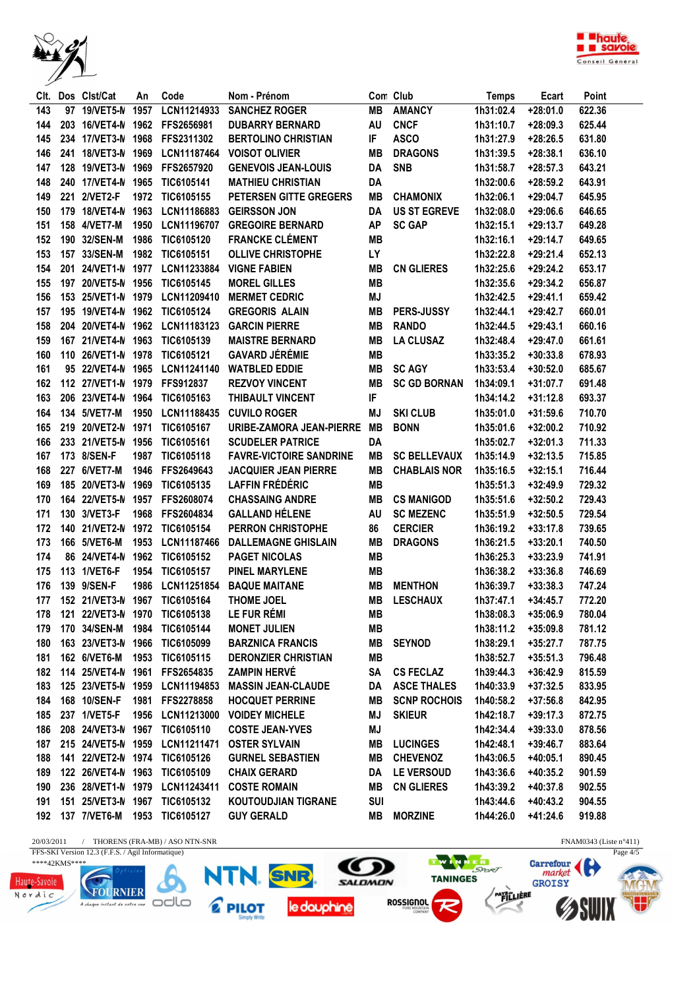



|     | Clt. Dos Clst/Cat  | An   | Code                                  | Nom - Prénom                   |            | Con Club            | <b>Temps</b> | Ecart      | Point  |
|-----|--------------------|------|---------------------------------------|--------------------------------|------------|---------------------|--------------|------------|--------|
| 143 | 97 19/VET5-N       | 1957 | LCN11214933                           | <b>SANCHEZ ROGER</b>           | MВ         | <b>AMANCY</b>       | 1h31:02.4    | $+28:01.0$ | 622.36 |
| 144 | 203 16/VET4-N 1962 |      | FFS2656981                            | <b>DUBARRY BERNARD</b>         | AU         | <b>CNCF</b>         | 1h31:10.7    | $+28:09.3$ | 625.44 |
| 145 | 234 17/VET3-N 1968 |      | FFS2311302                            | <b>BERTOLINO CHRISTIAN</b>     | IF         | <b>ASCO</b>         | 1h31:27.9    | $+28:26.5$ | 631.80 |
| 146 | 241 18/VET3-N 1969 |      | LCN11187464                           | <b>VOISOT OLIVIER</b>          | <b>MB</b>  | <b>DRAGONS</b>      | 1h31:39.5    | $+28:38.1$ | 636.10 |
| 147 | 128 19/VET3-N 1969 |      | FFS2657920                            | <b>GENEVOIS JEAN-LOUIS</b>     | DA         | <b>SNB</b>          | 1h31:58.7    | $+28:57.3$ | 643.21 |
| 148 | 240 17/VET4-N 1965 |      | TIC6105141                            | <b>MATHIEU CHRISTIAN</b>       | <b>DA</b>  |                     | 1h32:00.6    | $+28:59.2$ | 643.91 |
| 149 | 221 2/VET2-F       | 1972 | TIC6105155                            | PETERSEN GITTE GREGERS         | MВ         | <b>CHAMONIX</b>     | 1h32:06.1    | $+29:04.7$ | 645.95 |
| 150 | 179 18/VET4-N 1963 |      | LCN11186883                           | <b>GEIRSSON JON</b>            | DA         | <b>US ST EGREVE</b> | 1h32:08.0    | $+29:06.6$ | 646.65 |
| 151 | 158 4/VET7-M       | 1950 | LCN11196707                           | <b>GREGOIRE BERNARD</b>        | <b>AP</b>  | <b>SC GAP</b>       | 1h32:15.1    | $+29:13.7$ | 649.28 |
| 152 | 190 32/SEN-M       | 1986 | TIC6105120                            | <b>FRANCKE CLÉMENT</b>         | <b>MB</b>  |                     | 1h32:16.1    | $+29:14.7$ | 649.65 |
| 153 | 157 33/SEN-M       | 1982 | TIC6105151                            | <b>OLLIVE CHRISTOPHE</b>       | <b>LY</b>  |                     | 1h32:22.8    | $+29:21.4$ | 652.13 |
| 154 | 201 24/VET1-N 1977 |      | LCN11233884                           | <b>VIGNE FABIEN</b>            | MВ         | <b>CN GLIERES</b>   | 1h32:25.6    | $+29:24.2$ | 653.17 |
| 155 | 197 20/VET5-N 1956 |      | TIC6105145                            | <b>MOREL GILLES</b>            | MВ         |                     | 1h32:35.6    | $+29:34.2$ | 656.87 |
| 156 | 153 25/VET1-N 1979 |      | LCN11209410                           | <b>MERMET CEDRIC</b>           | MJ         |                     | 1h32:42.5    | $+29:41.1$ | 659.42 |
| 157 | 195 19/VET4-N 1962 |      | TIC6105124                            | <b>GREGORIS ALAIN</b>          | <b>MB</b>  | PERS-JUSSY          | 1h32:44.1    | $+29:42.7$ | 660.01 |
| 158 | 204 20/VET4-N 1962 |      | LCN11183123                           | <b>GARCIN PIERRE</b>           | <b>MB</b>  | <b>RANDO</b>        | 1h32:44.5    | $+29:43.1$ | 660.16 |
| 159 | 167 21/VET4-N 1963 |      | TIC6105139                            | <b>MAISTRE BERNARD</b>         | MВ         | <b>LA CLUSAZ</b>    | 1h32:48.4    | $+29:47.0$ | 661.61 |
| 160 | 110 26/VET1-N 1978 |      | TIC6105121                            | <b>GAVARD JÉRÉMIE</b>          | <b>MB</b>  |                     | 1h33:35.2    | $+30:33.8$ | 678.93 |
| 161 |                    |      | 95 22/VET4-N 1965 LCN11241140         | <b>WATBLED EDDIE</b>           | MВ         | <b>SC AGY</b>       | 1h33:53.4    | $+30:52.0$ | 685.67 |
| 162 | 112 27/VET1-N 1979 |      | <b>FFS912837</b>                      | <b>REZVOY VINCENT</b>          | MВ         | <b>SC GD BORNAN</b> | 1h34:09.1    | $+31:07.7$ | 691.48 |
| 163 | 206 23/VET4-N 1964 |      | TIC6105163                            | THIBAULT VINCENT               | IF         |                     | 1h34:14.2    | $+31:12.8$ | 693.37 |
| 164 | 134 5/VET7-M       | 1950 | LCN11188435                           | <b>CUVILO ROGER</b>            | MJ         | <b>SKI CLUB</b>     | 1h35:01.0    | $+31:59.6$ | 710.70 |
| 165 | 219 20/VET2-N 1971 |      | TIC6105167                            | URIBE-ZAMORA JEAN-PIERRE       | MB         | <b>BONN</b>         | 1h35:01.6    | $+32:00.2$ | 710.92 |
| 166 | 233 21/VET5-N 1956 |      | TIC6105161                            | <b>SCUDELER PATRICE</b>        | DA         |                     | 1h35:02.7    | $+32:01.3$ | 711.33 |
| 167 | 173 8/SEN-F        | 1987 | TIC6105118                            | <b>FAVRE-VICTOIRE SANDRINE</b> | MВ         | <b>SC BELLEVAUX</b> | 1h35:14.9    | $+32:13.5$ | 715.85 |
| 168 | 227 6/VET7-M       | 1946 | FFS2649643                            | <b>JACQUIER JEAN PIERRE</b>    | MВ         | <b>CHABLAIS NOR</b> | 1h35:16.5    | $+32:15.1$ | 716.44 |
| 169 | 185 20/VET3-N      | 1969 | TIC6105135                            | <b>LAFFIN FRÉDÉRIC</b>         | <b>MB</b>  |                     |              | $+32:49.9$ | 729.32 |
|     |                    |      |                                       |                                | <b>MB</b>  |                     | 1h35:51.3    |            |        |
| 170 | 164 22/VET5-N 1957 |      | FFS2608074                            | <b>CHASSAING ANDRE</b>         |            | <b>CS MANIGOD</b>   | 1h35:51.6    | $+32:50.2$ | 729.43 |
| 171 | 130 3/VET3-F       | 1968 | FFS2604834                            | <b>GALLAND HÉLENE</b>          | AU         | <b>SC MEZENC</b>    | 1h35:51.9    | $+32:50.5$ | 729.54 |
| 172 | 140 21/VET2-N 1972 |      | TIC6105154                            | <b>PERRON CHRISTOPHE</b>       | 86         | <b>CERCIER</b>      | 1h36:19.2    | $+33:17.8$ | 739.65 |
| 173 | 166 5/VET6-M       | 1953 | LCN11187466                           | <b>DALLEMAGNE GHISLAIN</b>     | <b>MB</b>  | <b>DRAGONS</b>      | 1h36:21.5    | $+33:20.1$ | 740.50 |
| 174 | 86 24/VET4-N       | 1962 | TIC6105152                            | <b>PAGET NICOLAS</b>           | MВ         |                     | 1h36:25.3    | $+33:23.9$ | 741.91 |
| 175 | 113 1/VET6-F       | 1954 | TIC6105157                            | <b>PINEL MARYLENE</b>          | MВ         |                     | 1h36:38.2    | $+33:36.8$ | 746.69 |
| 176 | 139 9/SEN-F        | 1986 | LCN11251854                           | <b>BAQUE MAITANE</b>           | MВ         | <b>MENTHON</b>      | 1h36:39.7    | $+33:38.3$ | 747.24 |
| 177 |                    |      | 152 21/VET3-N 1967 TIC6105164         | <b>THOME JOEL</b>              | <b>MB</b>  | <b>LESCHAUX</b>     | 1h37:47.1    | $+34:45.7$ | 772.20 |
| 178 |                    |      | 121 22/VET3-N 1970 TIC6105138         | LE FUR RÉMI                    | MB         |                     | 1h38:08.3    | $+35:06.9$ | 780.04 |
|     |                    |      | 179 170 34/SEN-M 1984 TIC6105144      | <b>MONET JULIEN</b>            | MВ         |                     | 1h38:11.2    | $+35:09.8$ | 781.12 |
|     |                    |      | 180  163  23/VET3-N  1966  TIC6105099 | <b>BARZNICA FRANCIS</b>        | MВ         | <b>SEYNOD</b>       | 1h38:29.1    | $+35:27.7$ | 787.75 |
|     |                    |      | 181  162  6/VET6-M  1953  TIC6105115  | <b>DERONZIER CHRISTIAN</b>     | MВ         |                     | 1h38:52.7    | $+35:51.3$ | 796.48 |
|     |                    |      | 182 114 25/VET4-N 1961 FFS2654835     | <b>ZAMPIN HERVÉ</b>            | SA         | <b>CS FECLAZ</b>    | 1h39:44.3    | $+36:42.9$ | 815.59 |
|     |                    |      | 183 125 23/VET5-N 1959 LCN11194853    | <b>MASSIN JEAN-CLAUDE</b>      |            | DA ASCE THALES      | 1h40:33.9    | $+37:32.5$ | 833.95 |
|     | 184 168 10/SEN-F   |      | 1981 FFS2278858                       | <b>HOCQUET PERRINE</b>         | MВ         | <b>SCNP ROCHOIS</b> | 1h40:58.2    | $+37:56.8$ | 842.95 |
|     | 185 237 1/VET5-F   |      | 1956 LCN11213000                      | <b>VOIDEY MICHELE</b>          | MJ         | <b>SKIEUR</b>       | 1h42:18.7    | $+39:17.3$ | 872.75 |
| 186 |                    |      | 208 24/VET3-N 1967 TIC6105110         | <b>COSTE JEAN-YVES</b>         | ΜJ         |                     | 1h42:34.4    | $+39:33.0$ | 878.56 |
|     |                    |      | 187 215 24/VET5-N 1959 LCN11211471    | <b>OSTER SYLVAIN</b>           | MВ         | <b>LUCINGES</b>     | 1h42:48.1    | $+39:46.7$ | 883.64 |
| 188 |                    |      | 141 22/VET2-N 1974 TIC6105126         | <b>GURNEL SEBASTIEN</b>        | MВ         | <b>CHEVENOZ</b>     | 1h43:06.5    | +40:05.1   | 890.45 |
| 189 | 122 26/VET4-N 1963 |      | TIC6105109                            | <b>CHAIX GERARD</b>            | DA         | LE VERSOUD          | 1h43:36.6    | +40:35.2   | 901.59 |
| 190 | 236 28/VET1-N 1979 |      | LCN11243411                           | <b>COSTE ROMAIN</b>            | MВ         | <b>CN GLIERES</b>   | 1h43:39.2    | +40:37.8   | 902.55 |
| 191 | 151 25/VET3-N 1967 |      | TIC6105132                            | <b>KOUTOUDJIAN TIGRANE</b>     | <b>SUI</b> |                     | 1h43:44.6    | $+40:43.2$ | 904.55 |
|     | 192 137 7/VET6-M   |      | 1953 TIC6105127                       | <b>GUY GERALD</b>              | MВ         | <b>MORZINE</b>      | 1h44:26.0    | +41:24.6   | 919.88 |